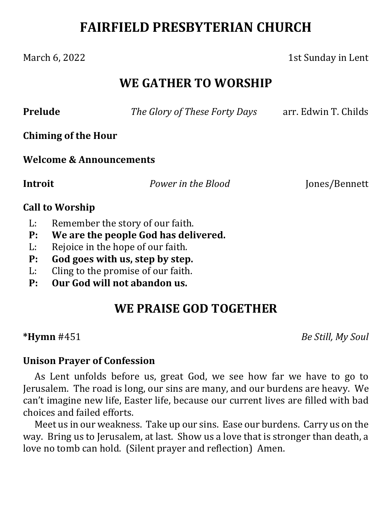# **FAIRFIELD PRESBYTERIAN CHURCH**

#### March 6, 2022 1st Sunday in Lent

## **WE GATHER TO WORSHIP**

**Prelude**  *The Glory of These Forty Days* arr. Edwin T. Childs

**Chiming of the Hour**

#### **Welcome & Announcements**

**Introit**  *Power in the Blood* Jones/Bennett

#### **Call to Worship**

- L: Remember the story of our faith.
- **P: We are the people God has delivered.**
- L: Rejoice in the hope of our faith.
- **P: God goes with us, step by step.**
- L: Cling to the promise of our faith.
- **P: Our God will not abandon us.**

## **WE PRAISE GOD TOGETHER**

**\*Hymn** #451 *Be Still, My Soul*

#### **Unison Prayer of Confession**

As Lent unfolds before us, great God, we see how far we have to go to Jerusalem. The road is long, our sins are many, and our burdens are heavy. We can't imagine new life, Easter life, because our current lives are filled with bad choices and failed efforts.

Meet us in our weakness. Take up our sins. Ease our burdens. Carry us on the way. Bring us to Jerusalem, at last. Show us a love that is stronger than death, a love no tomb can hold. (Silent prayer and reflection) Amen.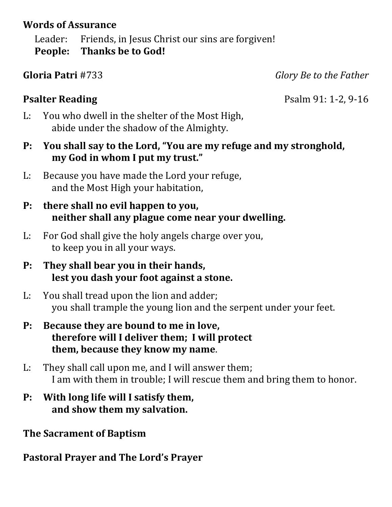### **Words of Assurance**

Leader: Friends, in Jesus Christ our sins are forgiven! **People: Thanks be to God!**

**Gloria Patri** #733 *Glory Be to the Father*

**Psalter Reading** Psalm 91: 1-2, 9-16

- L: You who dwell in the shelter of the Most High, abide under the shadow of the Almighty.
- **P: You shall say to the Lord, "You are my refuge and my stronghold, my God in whom I put my trust."**
- L: Because you have made the Lord your refuge, and the Most High your habitation,
- **P: there shall no evil happen to you, neither shall any plague come near your dwelling.**
- L: For God shall give the holy angels charge over you, to keep you in all your ways.
- **P: They shall bear you in their hands, lest you dash your foot against a stone.**
- L: You shall tread upon the lion and adder; you shall trample the young lion and the serpent under your feet.
- **P: Because they are bound to me in love, therefore will I deliver them; I will protect them, because they know my name**.
- L: They shall call upon me, and I will answer them; I am with them in trouble; I will rescue them and bring them to honor.
- **P: With long life will I satisfy them, and show them my salvation.**

**The Sacrament of Baptism**

**Pastoral Prayer and The Lord's Prayer**